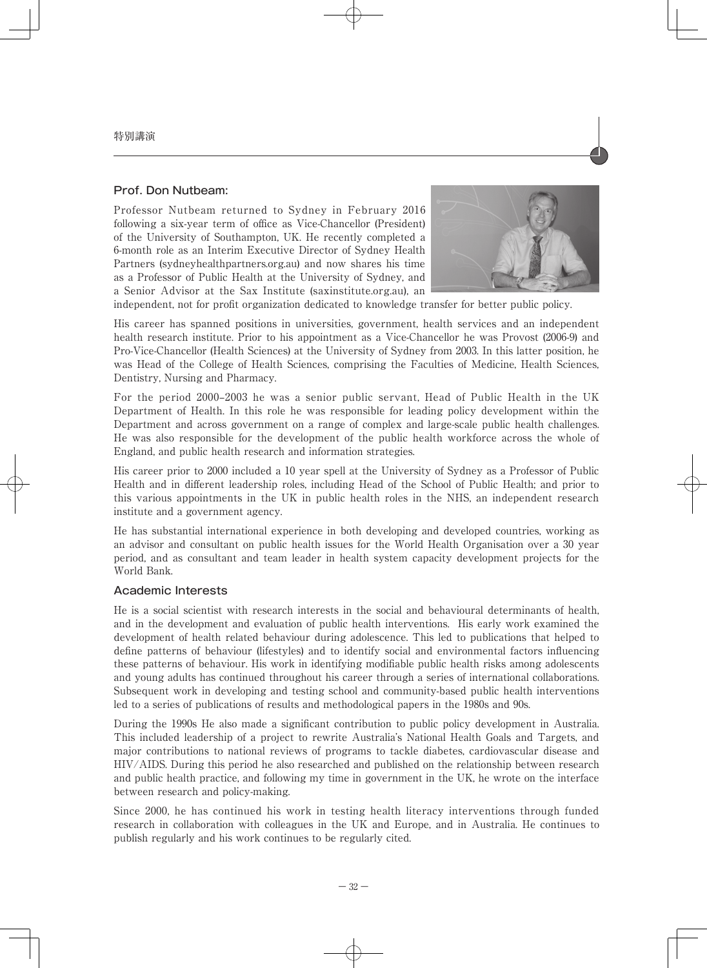## Prof. Don Nutbeam:

Professor Nutbeam returned to Sydney in February 2016 following a six-year term of office as Vice-Chancellor (President) of the University of Southampton, UK. He recently completed a 6-month role as an Interim Executive Director of Sydney Health Partners (sydneyhealthpartners.org.au) and now shares his time as a Professor of Public Health at the University of Sydney, and a Senior Advisor at the Sax Institute (saxinstitute.org.au), an



independent, not for profit organization dedicated to knowledge transfer for better public policy.

His career has spanned positions in universities, government, health services and an independent health research institute. Prior to his appointment as a Vice-Chancellor he was Provost (2006-9) and Pro-Vice-Chancellor (Health Sciences) at the University of Sydney from 2003. In this latter position, he was Head of the College of Health Sciences, comprising the Faculties of Medicine, Health Sciences, Dentistry, Nursing and Pharmacy.

For the period 2000–2003 he was a senior public servant, Head of Public Health in the UK Department of Health. In this role he was responsible for leading policy development within the Department and across government on a range of complex and large-scale public health challenges. He was also responsible for the development of the public health workforce across the whole of England, and public health research and information strategies.

His career prior to 2000 included a 10 year spell at the University of Sydney as a Professor of Public Health and in different leadership roles, including Head of the School of Public Health; and prior to this various appointments in the UK in public health roles in the NHS, an independent research institute and a government agency.

He has substantial international experience in both developing and developed countries, working as an advisor and consultant on public health issues for the World Health Organisation over a 30 year period, and as consultant and team leader in health system capacity development projects for the World Bank.

## Academic Interests

He is a social scientist with research interests in the social and behavioural determinants of health, and in the development and evaluation of public health interventions. His early work examined the development of health related behaviour during adolescence. This led to publications that helped to define patterns of behaviour (lifestyles) and to identify social and environmental factors influencing these patterns of behaviour. His work in identifying modifiable public health risks among adolescents and young adults has continued throughout his career through a series of international collaborations. Subsequent work in developing and testing school and community-based public health interventions led to a series of publications of results and methodological papers in the 1980s and 90s.

During the 1990s He also made a significant contribution to public policy development in Australia. This included leadership of a project to rewrite Australia's National Health Goals and Targets, and major contributions to national reviews of programs to tackle diabetes, cardiovascular disease and HIV/AIDS. During this period he also researched and published on the relationship between research and public health practice, and following my time in government in the UK, he wrote on the interface between research and policy-making.

Since 2000, he has continued his work in testing health literacy interventions through funded research in collaboration with colleagues in the UK and Europe, and in Australia. He continues to publish regularly and his work continues to be regularly cited.